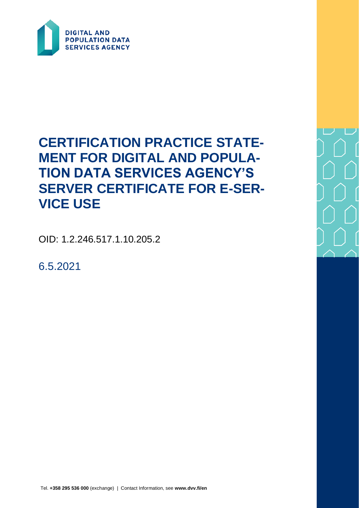

# **CERTIFICATION PRACTICE STATE-MENT FOR DIGITAL AND POPULA-TION DATA SERVICES AGENCY'S SERVER CERTIFICATE FOR E-SER-VICE USE**

OID: 1.2.246.517.1.10.205.2

6.5.2021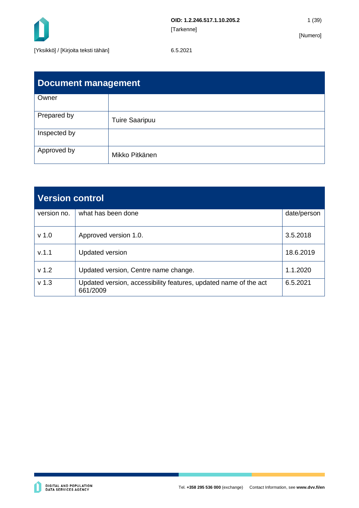

| <b>Document management</b> |                       |  |  |  |  |
|----------------------------|-----------------------|--|--|--|--|
| Owner                      |                       |  |  |  |  |
| Prepared by                | <b>Tuire Saaripuu</b> |  |  |  |  |
| Inspected by               |                       |  |  |  |  |
| Approved by                | Mikko Pitkänen        |  |  |  |  |

| <b>Version control</b> |                                                                              |             |  |  |
|------------------------|------------------------------------------------------------------------------|-------------|--|--|
| version no.            | what has been done                                                           | date/person |  |  |
| v <sub>1.0</sub>       | Approved version 1.0.                                                        | 3.5.2018    |  |  |
| V.1.1                  | <b>Updated version</b>                                                       | 18.6.2019   |  |  |
| v <sub>1.2</sub>       | Updated version, Centre name change.                                         | 1.1.2020    |  |  |
| v <sub>1.3</sub>       | Updated version, accessibility features, updated name of the act<br>661/2009 | 6.5.2021    |  |  |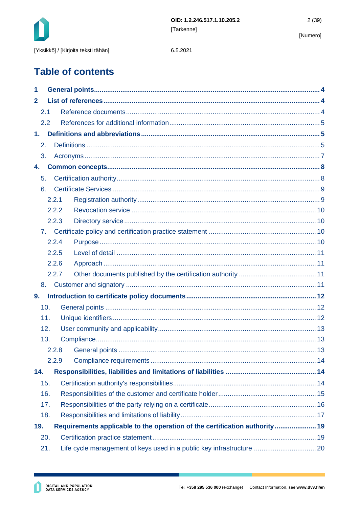

**Table of contents** 

| 1              |       |  |                                                                            |  |  |  |
|----------------|-------|--|----------------------------------------------------------------------------|--|--|--|
| $\mathbf{2}$   |       |  |                                                                            |  |  |  |
| 2.1            |       |  |                                                                            |  |  |  |
| 2.2            |       |  |                                                                            |  |  |  |
| 1 <sub>1</sub> |       |  |                                                                            |  |  |  |
| 2.             |       |  |                                                                            |  |  |  |
| 3.             |       |  |                                                                            |  |  |  |
| 4.             |       |  |                                                                            |  |  |  |
| 5.             |       |  |                                                                            |  |  |  |
| 6.             |       |  |                                                                            |  |  |  |
|                | 2.2.1 |  |                                                                            |  |  |  |
|                | 2.2.2 |  |                                                                            |  |  |  |
|                | 2.2.3 |  |                                                                            |  |  |  |
| 7.             |       |  |                                                                            |  |  |  |
|                | 2.2.4 |  |                                                                            |  |  |  |
| 2.2.5          |       |  |                                                                            |  |  |  |
|                | 2.2.6 |  |                                                                            |  |  |  |
|                | 2.2.7 |  |                                                                            |  |  |  |
| 8.             |       |  |                                                                            |  |  |  |
| 9.             |       |  |                                                                            |  |  |  |
| 10.            |       |  |                                                                            |  |  |  |
| 11.            |       |  |                                                                            |  |  |  |
| 12.            |       |  |                                                                            |  |  |  |
| 13.            |       |  |                                                                            |  |  |  |
|                |       |  | 13                                                                         |  |  |  |
|                | 2.2.9 |  |                                                                            |  |  |  |
| 14.            |       |  |                                                                            |  |  |  |
| 15.            |       |  |                                                                            |  |  |  |
| 16.            |       |  |                                                                            |  |  |  |
| 17.            |       |  |                                                                            |  |  |  |
| 18.            |       |  |                                                                            |  |  |  |
| 19.            |       |  | Requirements applicable to the operation of the certification authority 19 |  |  |  |
| 20.            |       |  |                                                                            |  |  |  |
| 21.            |       |  |                                                                            |  |  |  |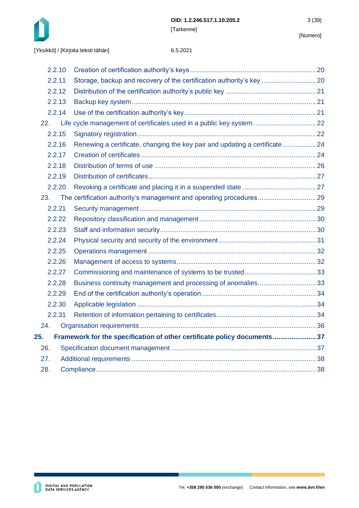

| 2.2.10 |                                                                             |  |
|--------|-----------------------------------------------------------------------------|--|
| 2.2.11 | Storage, backup and recovery of the certification authority's key  20       |  |
| 2.2.12 |                                                                             |  |
| 2.2.13 |                                                                             |  |
| 2.2.14 |                                                                             |  |
| 22.    | Life cycle management of certificates used in a public key system  22       |  |
| 2.2.15 |                                                                             |  |
| 2.2.16 | Renewing a certificate, changing the key pair and updating a certificate 24 |  |
| 2.2.17 |                                                                             |  |
| 2.2.18 |                                                                             |  |
| 2.2.19 |                                                                             |  |
| 2.2.20 |                                                                             |  |
| 23.    |                                                                             |  |
| 2.2.21 |                                                                             |  |
| 2.2.22 |                                                                             |  |
| 2.2.23 |                                                                             |  |
| 2.2.24 |                                                                             |  |
| 2.2.25 |                                                                             |  |
| 2.2.26 |                                                                             |  |
| 2.2.27 |                                                                             |  |
| 2.2.28 |                                                                             |  |
| 2.2.29 |                                                                             |  |
| 2.2.30 |                                                                             |  |
| 2.2.31 |                                                                             |  |
| 24.    |                                                                             |  |
| 25.    | Framework for the specification of other certificate policy documents 37    |  |
| 26.    |                                                                             |  |
| 27.    |                                                                             |  |
| 28.    |                                                                             |  |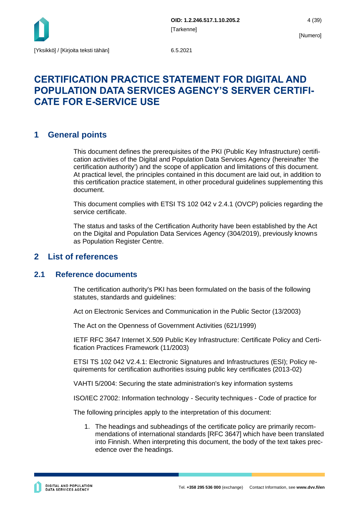

# **CERTIFICATION PRACTICE STATEMENT FOR DIGITAL AND POPULATION DATA SERVICES AGENCY'S SERVER CERTIFI-CATE FOR E-SERVICE USE**

# <span id="page-4-0"></span>**1 General points**

This document defines the prerequisites of the PKI (Public Key Infrastructure) certification activities of the Digital and Population Data Services Agency (hereinafter 'the certification authority') and the scope of application and limitations of this document. At practical level, the principles contained in this document are laid out, in addition to this certification practice statement, in other procedural guidelines supplementing this document.

This document complies with ETSI TS 102 042 v 2.4.1 (OVCP) policies regarding the service certificate.

The status and tasks of the Certification Authority have been established by the Act on the Digital and Population Data Services Agency (304/2019), previously knowns as Population Register Centre.

# <span id="page-4-1"></span>**2 List of references**

### <span id="page-4-2"></span>**2.1 Reference documents**

The certification authority's PKI has been formulated on the basis of the following statutes, standards and guidelines:

Act on Electronic Services and Communication in the Public Sector (13/2003)

The Act on the Openness of Government Activities (621/1999)

IETF RFC 3647 Internet X.509 Public Key Infrastructure: Certificate Policy and Certification Practices Framework (11/2003)

ETSI TS 102 042 V2.4.1: Electronic Signatures and Infrastructures (ESI); Policy requirements for certification authorities issuing public key certificates (2013-02)

VAHTI 5/2004: Securing the state administration's key information systems

ISO/IEC 27002: Information technology - Security techniques - Code of practice for

The following principles apply to the interpretation of this document:

1. The headings and subheadings of the certificate policy are primarily recommendations of international standards [RFC 3647] which have been translated into Finnish. When interpreting this document, the body of the text takes precedence over the headings.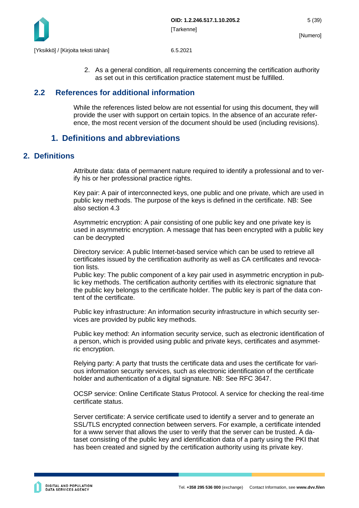

2. As a general condition, all requirements concerning the certification authority as set out in this certification practice statement must be fulfilled.

# <span id="page-5-0"></span>**2.2 References for additional information**

While the references listed below are not essential for using this document, they will provide the user with support on certain topics. In the absence of an accurate reference, the most recent version of the document should be used (including revisions).

# <span id="page-5-1"></span>**1. Definitions and abbreviations**

# <span id="page-5-2"></span>**2. Definitions**

Attribute data: data of permanent nature required to identify a professional and to verify his or her professional practice rights.

Key pair: A pair of interconnected keys, one public and one private, which are used in public key methods. The purpose of the keys is defined in the certificate. NB: See also section 4.3

Asymmetric encryption: A pair consisting of one public key and one private key is used in asymmetric encryption. A message that has been encrypted with a public key can be decrypted

Directory service: A public Internet-based service which can be used to retrieve all certificates issued by the certification authority as well as CA certificates and revocation lists.

Public key: The public component of a key pair used in asymmetric encryption in public key methods. The certification authority certifies with its electronic signature that the public key belongs to the certificate holder. The public key is part of the data content of the certificate.

Public key infrastructure: An information security infrastructure in which security services are provided by public key methods.

Public key method: An information security service, such as electronic identification of a person, which is provided using public and private keys, certificates and asymmetric encryption.

Relying party: A party that trusts the certificate data and uses the certificate for various information security services, such as electronic identification of the certificate holder and authentication of a digital signature. NB: See RFC 3647.

OCSP service: Online Certificate Status Protocol. A service for checking the real-time certificate status.

Server certificate: A service certificate used to identify a server and to generate an SSL/TLS encrypted connection between servers. For example, a certificate intended for a www server that allows the user to verify that the server can be trusted. A dataset consisting of the public key and identification data of a party using the PKI that has been created and signed by the certification authority using its private key.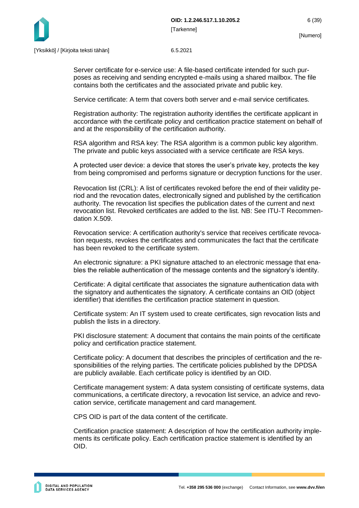

Server certificate for e-service use: A file-based certificate intended for such purposes as receiving and sending encrypted e-mails using a shared mailbox. The file contains both the certificates and the associated private and public key.

Service certificate: A term that covers both server and e-mail service certificates.

Registration authority: The registration authority identifies the certificate applicant in accordance with the certificate policy and certification practice statement on behalf of and at the responsibility of the certification authority.

RSA algorithm and RSA key: The RSA algorithm is a common public key algorithm. The private and public keys associated with a service certificate are RSA keys.

A protected user device: a device that stores the user's private key, protects the key from being compromised and performs signature or decryption functions for the user.

Revocation list (CRL): A list of certificates revoked before the end of their validity period and the revocation dates, electronically signed and published by the certification authority. The revocation list specifies the publication dates of the current and next revocation list. Revoked certificates are added to the list. NB: See ITU-T Recommendation X.509.

Revocation service: A certification authority's service that receives certificate revocation requests, revokes the certificates and communicates the fact that the certificate has been revoked to the certificate system.

An electronic signature: a PKI signature attached to an electronic message that enables the reliable authentication of the message contents and the signatory's identity.

Certificate: A digital certificate that associates the signature authentication data with the signatory and authenticates the signatory. A certificate contains an OID (object identifier) that identifies the certification practice statement in question.

Certificate system: An IT system used to create certificates, sign revocation lists and publish the lists in a directory.

PKI disclosure statement: A document that contains the main points of the certificate policy and certification practice statement.

Certificate policy: A document that describes the principles of certification and the responsibilities of the relying parties. The certificate policies published by the DPDSA are publicly available. Each certificate policy is identified by an OID.

Certificate management system: A data system consisting of certificate systems, data communications, a certificate directory, a revocation list service, an advice and revocation service, certificate management and card management.

CPS OID is part of the data content of the certificate.

Certification practice statement: A description of how the certification authority implements its certificate policy. Each certification practice statement is identified by an OID.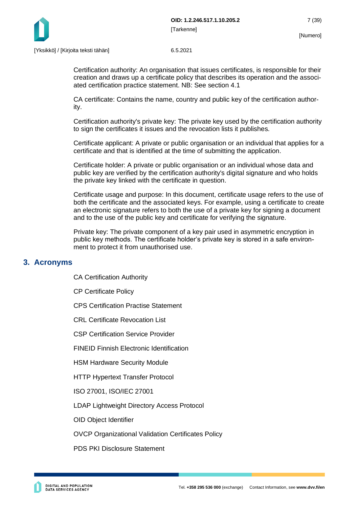

Certification authority: An organisation that issues certificates, is responsible for their creation and draws up a certificate policy that describes its operation and the associated certification practice statement. NB: See section 4.1

CA certificate: Contains the name, country and public key of the certification authority.

Certification authority's private key: The private key used by the certification authority to sign the certificates it issues and the revocation lists it publishes.

Certificate applicant: A private or public organisation or an individual that applies for a certificate and that is identified at the time of submitting the application.

Certificate holder: A private or public organisation or an individual whose data and public key are verified by the certification authority's digital signature and who holds the private key linked with the certificate in question.

Certificate usage and purpose: In this document, certificate usage refers to the use of both the certificate and the associated keys. For example, using a certificate to create an electronic signature refers to both the use of a private key for signing a document and to the use of the public key and certificate for verifying the signature.

Private key: The private component of a key pair used in asymmetric encryption in public key methods. The certificate holder's private key is stored in a safe environment to protect it from unauthorised use.

### <span id="page-7-0"></span>**3. Acronyms**

CA Certification Authority

CP Certificate Policy

CPS Certification Practise Statement

CRL Certificate Revocation List

CSP Certification Service Provider

FINEID Finnish Electronic Identification

HSM Hardware Security Module

HTTP Hypertext Transfer Protocol

ISO 27001, ISO/IEC 27001

LDAP Lightweight Directory Access Protocol

OID Object Identifier

OVCP Organizational Validation Certificates Policy

PDS PKI Disclosure Statement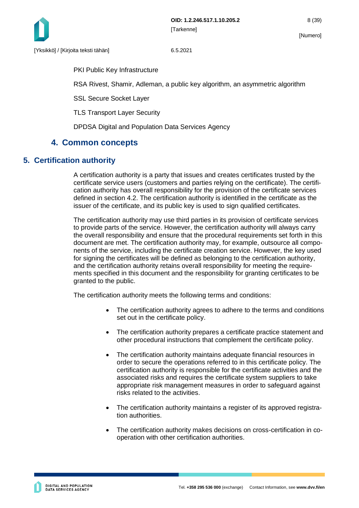

PKI Public Key Infrastructure

RSA Rivest, Shamir, Adleman, a public key algorithm, an asymmetric algorithm

SSL Secure Socket Layer

TLS Transport Layer Security

DPDSA Digital and Population Data Services Agency

# <span id="page-8-0"></span>**4. Common concepts**

# <span id="page-8-1"></span>**5. Certification authority**

A certification authority is a party that issues and creates certificates trusted by the certificate service users (customers and parties relying on the certificate). The certification authority has overall responsibility for the provision of the certificate services defined in section 4.2. The certification authority is identified in the certificate as the issuer of the certificate, and its public key is used to sign qualified certificates.

The certification authority may use third parties in its provision of certificate services to provide parts of the service. However, the certification authority will always carry the overall responsibility and ensure that the procedural requirements set forth in this document are met. The certification authority may, for example, outsource all components of the service, including the certificate creation service. However, the key used for signing the certificates will be defined as belonging to the certification authority, and the certification authority retains overall responsibility for meeting the requirements specified in this document and the responsibility for granting certificates to be granted to the public.

The certification authority meets the following terms and conditions:

- The certification authority agrees to adhere to the terms and conditions set out in the certificate policy.
- The certification authority prepares a certificate practice statement and other procedural instructions that complement the certificate policy.
- The certification authority maintains adequate financial resources in order to secure the operations referred to in this certificate policy. The certification authority is responsible for the certificate activities and the associated risks and requires the certificate system suppliers to take appropriate risk management measures in order to safeguard against risks related to the activities.
- The certification authority maintains a register of its approved registration authorities.
- The certification authority makes decisions on cross-certification in cooperation with other certification authorities.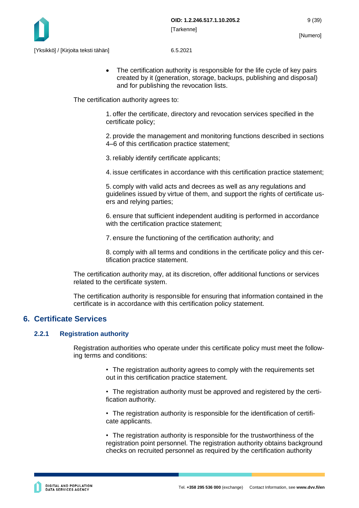

• The certification authority is responsible for the life cycle of key pairs created by it (generation, storage, backups, publishing and disposal) and for publishing the revocation lists.

The certification authority agrees to:

1. offer the certificate, directory and revocation services specified in the certificate policy;

2. provide the management and monitoring functions described in sections 4–6 of this certification practice statement;

3. reliably identify certificate applicants;

4. issue certificates in accordance with this certification practice statement;

5. comply with valid acts and decrees as well as any regulations and guidelines issued by virtue of them, and support the rights of certificate users and relying parties;

6. ensure that sufficient independent auditing is performed in accordance with the certification practice statement;

7. ensure the functioning of the certification authority; and

8. comply with all terms and conditions in the certificate policy and this certification practice statement.

The certification authority may, at its discretion, offer additional functions or services related to the certificate system.

The certification authority is responsible for ensuring that information contained in the certificate is in accordance with this certification policy statement.

# <span id="page-9-0"></span>**6. Certificate Services**

#### <span id="page-9-1"></span>**2.2.1 Registration authority**

Registration authorities who operate under this certificate policy must meet the following terms and conditions:

- The registration authority agrees to comply with the requirements set out in this certification practice statement.
- The registration authority must be approved and registered by the certification authority.
- The registration authority is responsible for the identification of certificate applicants.

• The registration authority is responsible for the trustworthiness of the registration point personnel. The registration authority obtains background checks on recruited personnel as required by the certification authority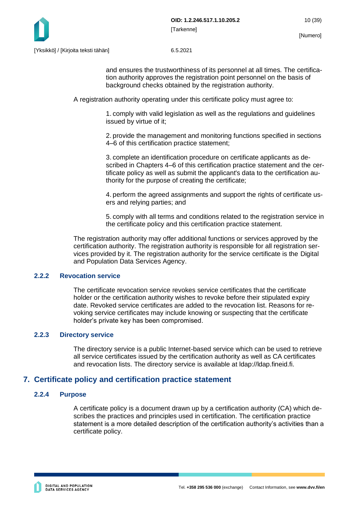

and ensures the trustworthiness of its personnel at all times. The certification authority approves the registration point personnel on the basis of background checks obtained by the registration authority.

A registration authority operating under this certificate policy must agree to:

1. comply with valid legislation as well as the regulations and guidelines issued by virtue of it;

2. provide the management and monitoring functions specified in sections 4–6 of this certification practice statement;

3. complete an identification procedure on certificate applicants as described in Chapters 4–6 of this certification practice statement and the certificate policy as well as submit the applicant's data to the certification authority for the purpose of creating the certificate;

4. perform the agreed assignments and support the rights of certificate users and relying parties; and

5. comply with all terms and conditions related to the registration service in the certificate policy and this certification practice statement.

The registration authority may offer additional functions or services approved by the certification authority. The registration authority is responsible for all registration services provided by it. The registration authority for the service certificate is the Digital and Population Data Services Agency.

#### <span id="page-10-0"></span>**2.2.2 Revocation service**

The certificate revocation service revokes service certificates that the certificate holder or the certification authority wishes to revoke before their stipulated expiry date. Revoked service certificates are added to the revocation list. Reasons for revoking service certificates may include knowing or suspecting that the certificate holder's private key has been compromised.

#### <span id="page-10-1"></span>**2.2.3 Directory service**

The directory service is a public Internet-based service which can be used to retrieve all service certificates issued by the certification authority as well as CA certificates and revocation lists. The directory service is available at ldap://ldap.fineid.fi.

### <span id="page-10-2"></span>**7. Certificate policy and certification practice statement**

#### <span id="page-10-3"></span>**2.2.4 Purpose**

A certificate policy is a document drawn up by a certification authority (CA) which describes the practices and principles used in certification. The certification practice statement is a more detailed description of the certification authority's activities than a certificate policy.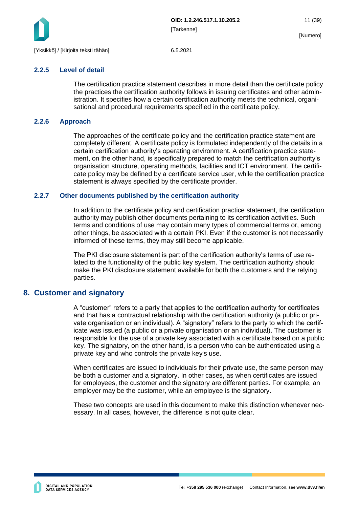

#### <span id="page-11-0"></span>**2.2.5 Level of detail**

The certification practice statement describes in more detail than the certificate policy the practices the certification authority follows in issuing certificates and other administration. It specifies how a certain certification authority meets the technical, organisational and procedural requirements specified in the certificate policy.

#### <span id="page-11-1"></span>**2.2.6 Approach**

The approaches of the certificate policy and the certification practice statement are completely different. A certificate policy is formulated independently of the details in a certain certification authority's operating environment. A certification practice statement, on the other hand, is specifically prepared to match the certification authority's organisation structure, operating methods, facilities and ICT environment. The certificate policy may be defined by a certificate service user, while the certification practice statement is always specified by the certificate provider.

#### <span id="page-11-2"></span>**2.2.7 Other documents published by the certification authority**

In addition to the certificate policy and certification practice statement, the certification authority may publish other documents pertaining to its certification activities. Such terms and conditions of use may contain many types of commercial terms or, among other things, be associated with a certain PKI. Even if the customer is not necessarily informed of these terms, they may still become applicable.

The PKI disclosure statement is part of the certification authority's terms of use related to the functionality of the public key system. The certification authority should make the PKI disclosure statement available for both the customers and the relying parties.

### <span id="page-11-3"></span>**8. Customer and signatory**

A "customer" refers to a party that applies to the certification authority for certificates and that has a contractual relationship with the certification authority (a public or private organisation or an individual). A "signatory" refers to the party to which the certificate was issued (a public or a private organisation or an individual). The customer is responsible for the use of a private key associated with a certificate based on a public key. The signatory, on the other hand, is a person who can be authenticated using a private key and who controls the private key's use.

When certificates are issued to individuals for their private use, the same person may be both a customer and a signatory. In other cases, as when certificates are issued for employees, the customer and the signatory are different parties. For example, an employer may be the customer, while an employee is the signatory.

These two concepts are used in this document to make this distinction whenever necessary. In all cases, however, the difference is not quite clear.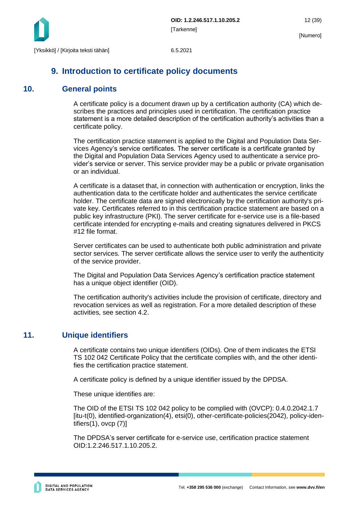

# <span id="page-12-0"></span>**9. Introduction to certificate policy documents**

# <span id="page-12-1"></span>**10. General points**

A certificate policy is a document drawn up by a certification authority (CA) which describes the practices and principles used in certification. The certification practice statement is a more detailed description of the certification authority's activities than a certificate policy.

The certification practice statement is applied to the Digital and Population Data Services Agency's service certificates. The server certificate is a certificate granted by the Digital and Population Data Services Agency used to authenticate a service provider's service or server. This service provider may be a public or private organisation or an individual.

A certificate is a dataset that, in connection with authentication or encryption, links the authentication data to the certificate holder and authenticates the service certificate holder. The certificate data are signed electronically by the certification authority's private key. Certificates referred to in this certification practice statement are based on a public key infrastructure (PKI). The server certificate for e-service use is a file-based certificate intended for encrypting e-mails and creating signatures delivered in PKCS #12 file format.

Server certificates can be used to authenticate both public administration and private sector services. The server certificate allows the service user to verify the authenticity of the service provider.

The Digital and Population Data Services Agency's certification practice statement has a unique object identifier (OID).

The certification authority's activities include the provision of certificate, directory and revocation services as well as registration. For a more detailed description of these activities, see section 4.2.

# <span id="page-12-2"></span>**11. Unique identifiers**

A certificate contains two unique identifiers (OIDs). One of them indicates the ETSI TS 102 042 Certificate Policy that the certificate complies with, and the other identifies the certification practice statement.

A certificate policy is defined by a unique identifier issued by the DPDSA.

These unique identifies are:

The OID of the ETSI TS 102 042 policy to be complied with (OVCP): 0.4.0.2042.1.7 [itu-t(0), identified-organization(4), etsi(0), other-certificate-policies(2042), policy-identifiers(1), ovcp (7)]

The DPDSA's server certificate for e-service use, certification practice statement OID:1.2.246.517.1.10.205.2.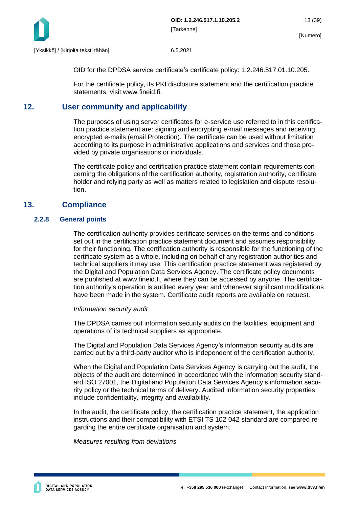

OID for the DPDSA service certificate's certificate policy: 1.2.246.517.01.10.205.

For the certificate policy, its PKI disclosure statement and the certification practice statements, visit www.fineid.fi.

# <span id="page-13-0"></span>**12. User community and applicability**

The purposes of using server certificates for e-service use referred to in this certification practice statement are: signing and encrypting e-mail messages and receiving encrypted e-mails (email Protection). The certificate can be used without limitation according to its purpose in administrative applications and services and those provided by private organisations or individuals.

The certificate policy and certification practice statement contain requirements concerning the obligations of the certification authority, registration authority, certificate holder and relying party as well as matters related to legislation and dispute resolution.

# <span id="page-13-1"></span>**13. Compliance**

#### <span id="page-13-2"></span>**2.2.8 General points**

The certification authority provides certificate services on the terms and conditions set out in the certification practice statement document and assumes responsibility for their functioning. The certification authority is responsible for the functioning of the certificate system as a whole, including on behalf of any registration authorities and technical suppliers it may use. This certification practice statement was registered by the Digital and Population Data Services Agency. The certificate policy documents are published at www.fineid.fi, where they can be accessed by anyone. The certification authority's operation is audited every year and whenever significant modifications have been made in the system. Certificate audit reports are available on request.

#### *Information security audit*

The DPDSA carries out information security audits on the facilities, equipment and operations of its technical suppliers as appropriate.

The Digital and Population Data Services Agency's information security audits are carried out by a third-party auditor who is independent of the certification authority.

When the Digital and Population Data Services Agency is carrying out the audit, the objects of the audit are determined in accordance with the information security standard ISO 27001, the Digital and Population Data Services Agency's information security policy or the technical terms of delivery. Audited information security properties include confidentiality, integrity and availability.

In the audit, the certificate policy, the certification practice statement, the application instructions and their compatibility with ETSI TS 102 042 standard are compared regarding the entire certificate organisation and system.

*Measures resulting from deviations*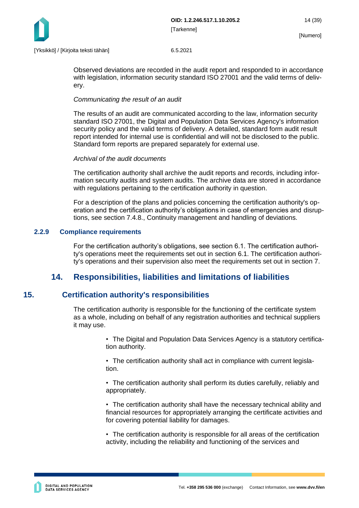

Observed deviations are recorded in the audit report and responded to in accordance with legislation, information security standard ISO 27001 and the valid terms of delivery.

#### *Communicating the result of an audit*

The results of an audit are communicated according to the law, information security standard ISO 27001, the Digital and Population Data Services Agency's information security policy and the valid terms of delivery. A detailed, standard form audit result report intended for internal use is confidential and will not be disclosed to the public. Standard form reports are prepared separately for external use.

#### *Archival of the audit documents*

The certification authority shall archive the audit reports and records, including information security audits and system audits. The archive data are stored in accordance with regulations pertaining to the certification authority in question.

For a description of the plans and policies concerning the certification authority's operation and the certification authority's obligations in case of emergencies and disruptions, see section 7.4.8., Continuity management and handling of deviations.

#### <span id="page-14-0"></span>**2.2.9 Compliance requirements**

For the certification authority's obligations, see section 6.1. The certification authority's operations meet the requirements set out in section 6.1. The certification authority's operations and their supervision also meet the requirements set out in section 7.

# <span id="page-14-1"></span>**14. Responsibilities, liabilities and limitations of liabilities**

# <span id="page-14-2"></span>**15. Certification authority's responsibilities**

The certification authority is responsible for the functioning of the certificate system as a whole, including on behalf of any registration authorities and technical suppliers it may use.

> • The Digital and Population Data Services Agency is a statutory certification authority.

• The certification authority shall act in compliance with current legislation.

• The certification authority shall perform its duties carefully, reliably and appropriately.

• The certification authority shall have the necessary technical ability and financial resources for appropriately arranging the certificate activities and for covering potential liability for damages.

• The certification authority is responsible for all areas of the certification activity, including the reliability and functioning of the services and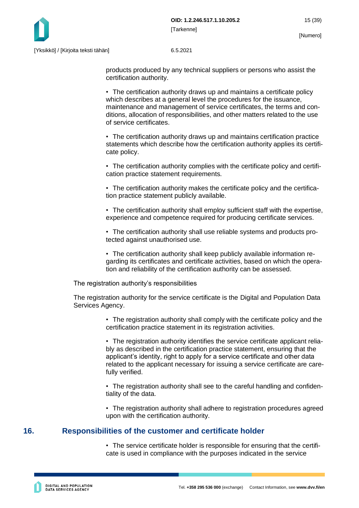

products produced by any technical suppliers or persons who assist the certification authority.

• The certification authority draws up and maintains a certificate policy which describes at a general level the procedures for the issuance, maintenance and management of service certificates, the terms and conditions, allocation of responsibilities, and other matters related to the use of service certificates.

• The certification authority draws up and maintains certification practice statements which describe how the certification authority applies its certificate policy.

• The certification authority complies with the certificate policy and certification practice statement requirements.

• The certification authority makes the certificate policy and the certification practice statement publicly available.

• The certification authority shall employ sufficient staff with the expertise, experience and competence required for producing certificate services.

• The certification authority shall use reliable systems and products protected against unauthorised use.

• The certification authority shall keep publicly available information regarding its certificates and certificate activities, based on which the operation and reliability of the certification authority can be assessed.

The registration authority's responsibilities

The registration authority for the service certificate is the Digital and Population Data Services Agency.

> • The registration authority shall comply with the certificate policy and the certification practice statement in its registration activities.

> • The registration authority identifies the service certificate applicant reliably as described in the certification practice statement, ensuring that the applicant's identity, right to apply for a service certificate and other data related to the applicant necessary for issuing a service certificate are carefully verified.

> • The registration authority shall see to the careful handling and confidentiality of the data.

> • The registration authority shall adhere to registration procedures agreed upon with the certification authority.

### <span id="page-15-0"></span>**16. Responsibilities of the customer and certificate holder**

• The service certificate holder is responsible for ensuring that the certificate is used in compliance with the purposes indicated in the service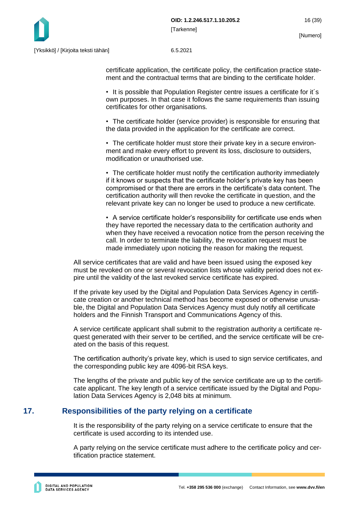

certificate application, the certificate policy, the certification practice statement and the contractual terms that are binding to the certificate holder.

• It is possible that Population Register centre issues a certificate for it´s own purposes. In that case it follows the same requirements than issuing certificates for other organisations.

• The certificate holder (service provider) is responsible for ensuring that the data provided in the application for the certificate are correct.

• The certificate holder must store their private key in a secure environment and make every effort to prevent its loss, disclosure to outsiders, modification or unauthorised use.

• The certificate holder must notify the certification authority immediately if it knows or suspects that the certificate holder's private key has been compromised or that there are errors in the certificate's data content. The certification authority will then revoke the certificate in question, and the relevant private key can no longer be used to produce a new certificate.

• A service certificate holder's responsibility for certificate use ends when they have reported the necessary data to the certification authority and when they have received a revocation notice from the person receiving the call. In order to terminate the liability, the revocation request must be made immediately upon noticing the reason for making the request.

All service certificates that are valid and have been issued using the exposed key must be revoked on one or several revocation lists whose validity period does not expire until the validity of the last revoked service certificate has expired.

If the private key used by the Digital and Population Data Services Agency in certificate creation or another technical method has become exposed or otherwise unusable, the Digital and Population Data Services Agency must duly notify all certificate holders and the Finnish Transport and Communications Agency of this.

A service certificate applicant shall submit to the registration authority a certificate request generated with their server to be certified, and the service certificate will be created on the basis of this request.

The certification authority's private key, which is used to sign service certificates, and the corresponding public key are 4096-bit RSA keys.

The lengths of the private and public key of the service certificate are up to the certificate applicant. The key length of a service certificate issued by the Digital and Population Data Services Agency is 2,048 bits at minimum.

# <span id="page-16-0"></span>**17. Responsibilities of the party relying on a certificate**

It is the responsibility of the party relying on a service certificate to ensure that the certificate is used according to its intended use.

A party relying on the service certificate must adhere to the certificate policy and certification practice statement.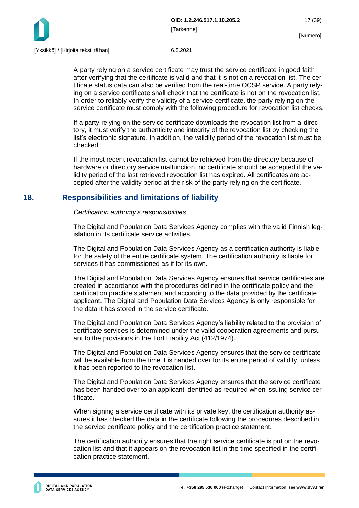

A party relying on a service certificate may trust the service certificate in good faith after verifying that the certificate is valid and that it is not on a revocation list. The certificate status data can also be verified from the real-time OCSP service. A party relying on a service certificate shall check that the certificate is not on the revocation list. In order to reliably verify the validity of a service certificate, the party relying on the service certificate must comply with the following procedure for revocation list checks.

If a party relying on the service certificate downloads the revocation list from a directory, it must verify the authenticity and integrity of the revocation list by checking the list's electronic signature. In addition, the validity period of the revocation list must be checked.

If the most recent revocation list cannot be retrieved from the directory because of hardware or directory service malfunction, no certificate should be accepted if the validity period of the last retrieved revocation list has expired. All certificates are accepted after the validity period at the risk of the party relying on the certificate.

# <span id="page-17-0"></span>**18. Responsibilities and limitations of liability**

#### *Certification authority's responsibilities*

The Digital and Population Data Services Agency complies with the valid Finnish legislation in its certificate service activities.

The Digital and Population Data Services Agency as a certification authority is liable for the safety of the entire certificate system. The certification authority is liable for services it has commissioned as if for its own.

The Digital and Population Data Services Agency ensures that service certificates are created in accordance with the procedures defined in the certificate policy and the certification practice statement and according to the data provided by the certificate applicant. The Digital and Population Data Services Agency is only responsible for the data it has stored in the service certificate.

The Digital and Population Data Services Agency's liability related to the provision of certificate services is determined under the valid cooperation agreements and pursuant to the provisions in the Tort Liability Act (412/1974).

The Digital and Population Data Services Agency ensures that the service certificate will be available from the time it is handed over for its entire period of validity, unless it has been reported to the revocation list.

The Digital and Population Data Services Agency ensures that the service certificate has been handed over to an applicant identified as required when issuing service certificate.

When signing a service certificate with its private key, the certification authority assures it has checked the data in the certificate following the procedures described in the service certificate policy and the certification practice statement.

The certification authority ensures that the right service certificate is put on the revocation list and that it appears on the revocation list in the time specified in the certification practice statement.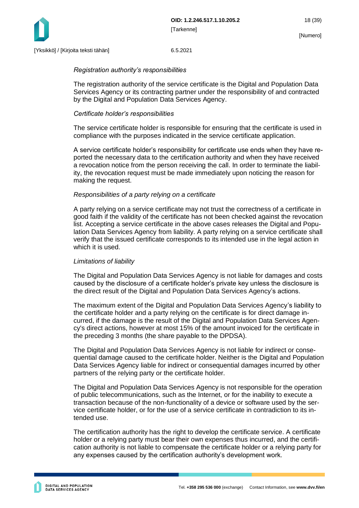

#### *Registration authority's responsibilities*

The registration authority of the service certificate is the Digital and Population Data Services Agency or its contracting partner under the responsibility of and contracted by the Digital and Population Data Services Agency.

#### *Certificate holder's responsibilities*

The service certificate holder is responsible for ensuring that the certificate is used in compliance with the purposes indicated in the service certificate application.

A service certificate holder's responsibility for certificate use ends when they have reported the necessary data to the certification authority and when they have received a revocation notice from the person receiving the call. In order to terminate the liability, the revocation request must be made immediately upon noticing the reason for making the request.

#### *Responsibilities of a party relying on a certificate*

A party relying on a service certificate may not trust the correctness of a certificate in good faith if the validity of the certificate has not been checked against the revocation list. Accepting a service certificate in the above cases releases the Digital and Population Data Services Agency from liability. A party relying on a service certificate shall verify that the issued certificate corresponds to its intended use in the legal action in which it is used.

#### *Limitations of liability*

The Digital and Population Data Services Agency is not liable for damages and costs caused by the disclosure of a certificate holder's private key unless the disclosure is the direct result of the Digital and Population Data Services Agency's actions.

The maximum extent of the Digital and Population Data Services Agency's liability to the certificate holder and a party relying on the certificate is for direct damage incurred, if the damage is the result of the Digital and Population Data Services Agency's direct actions, however at most 15% of the amount invoiced for the certificate in the preceding 3 months (the share payable to the DPDSA).

The Digital and Population Data Services Agency is not liable for indirect or consequential damage caused to the certificate holder. Neither is the Digital and Population Data Services Agency liable for indirect or consequential damages incurred by other partners of the relying party or the certificate holder.

The Digital and Population Data Services Agency is not responsible for the operation of public telecommunications, such as the Internet, or for the inability to execute a transaction because of the non-functionality of a device or software used by the service certificate holder, or for the use of a service certificate in contradiction to its intended use.

The certification authority has the right to develop the certificate service. A certificate holder or a relying party must bear their own expenses thus incurred, and the certification authority is not liable to compensate the certificate holder or a relying party for any expenses caused by the certification authority's development work.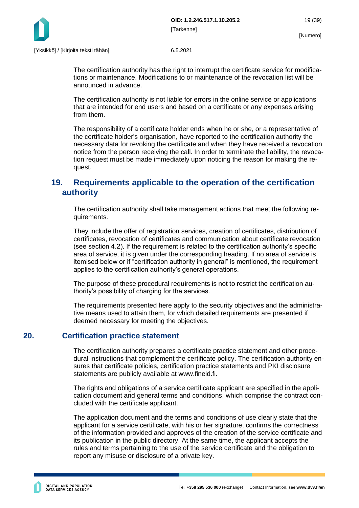

The certification authority has the right to interrupt the certificate service for modifications or maintenance. Modifications to or maintenance of the revocation list will be announced in advance.

The certification authority is not liable for errors in the online service or applications that are intended for end users and based on a certificate or any expenses arising from them.

The responsibility of a certificate holder ends when he or she, or a representative of the certificate holder's organisation, have reported to the certification authority the necessary data for revoking the certificate and when they have received a revocation notice from the person receiving the call. In order to terminate the liability, the revocation request must be made immediately upon noticing the reason for making the request.

# <span id="page-19-0"></span>**19. Requirements applicable to the operation of the certification authority**

The certification authority shall take management actions that meet the following requirements.

They include the offer of registration services, creation of certificates, distribution of certificates, revocation of certificates and communication about certificate revocation (see section 4.2). If the requirement is related to the certification authority's specific area of service, it is given under the corresponding heading. If no area of service is itemised below or if "certification authority in general" is mentioned, the requirement applies to the certification authority's general operations.

The purpose of these procedural requirements is not to restrict the certification authority's possibility of charging for the services.

The requirements presented here apply to the security objectives and the administrative means used to attain them, for which detailed requirements are presented if deemed necessary for meeting the objectives.

# <span id="page-19-1"></span>**20. Certification practice statement**

The certification authority prepares a certificate practice statement and other procedural instructions that complement the certificate policy. The certification authority ensures that certificate policies, certification practice statements and PKI disclosure statements are publicly available at www.fineid.fi.

The rights and obligations of a service certificate applicant are specified in the application document and general terms and conditions, which comprise the contract concluded with the certificate applicant.

The application document and the terms and conditions of use clearly state that the applicant for a service certificate, with his or her signature, confirms the correctness of the information provided and approves of the creation of the service certificate and its publication in the public directory. At the same time, the applicant accepts the rules and terms pertaining to the use of the service certificate and the obligation to report any misuse or disclosure of a private key.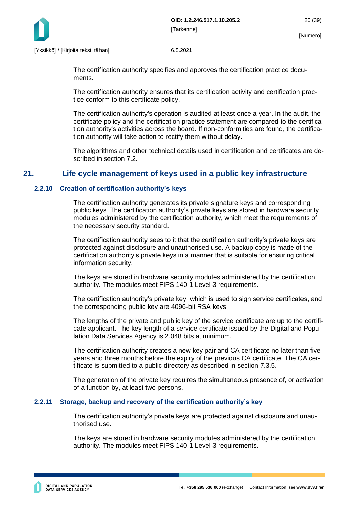

The certification authority specifies and approves the certification practice documents.

The certification authority ensures that its certification activity and certification practice conform to this certificate policy.

The certification authority's operation is audited at least once a year. In the audit, the certificate policy and the certification practice statement are compared to the certification authority's activities across the board. If non-conformities are found, the certification authority will take action to rectify them without delay.

The algorithms and other technical details used in certification and certificates are described in section 7.2.

# <span id="page-20-0"></span>**21. Life cycle management of keys used in a public key infrastructure**

#### <span id="page-20-1"></span>**2.2.10 Creation of certification authority's keys**

The certification authority generates its private signature keys and corresponding public keys. The certification authority's private keys are stored in hardware security modules administered by the certification authority, which meet the requirements of the necessary security standard.

The certification authority sees to it that the certification authority's private keys are protected against disclosure and unauthorised use. A backup copy is made of the certification authority's private keys in a manner that is suitable for ensuring critical information security.

The keys are stored in hardware security modules administered by the certification authority. The modules meet FIPS 140-1 Level 3 requirements.

The certification authority's private key, which is used to sign service certificates, and the corresponding public key are 4096-bit RSA keys.

The lengths of the private and public key of the service certificate are up to the certificate applicant. The key length of a service certificate issued by the Digital and Population Data Services Agency is 2,048 bits at minimum.

The certification authority creates a new key pair and CA certificate no later than five years and three months before the expiry of the previous CA certificate. The CA certificate is submitted to a public directory as described in section 7.3.5.

The generation of the private key requires the simultaneous presence of, or activation of a function by, at least two persons.

#### <span id="page-20-2"></span>**2.2.11 Storage, backup and recovery of the certification authority's key**

The certification authority's private keys are protected against disclosure and unauthorised use.

The keys are stored in hardware security modules administered by the certification authority. The modules meet FIPS 140-1 Level 3 requirements.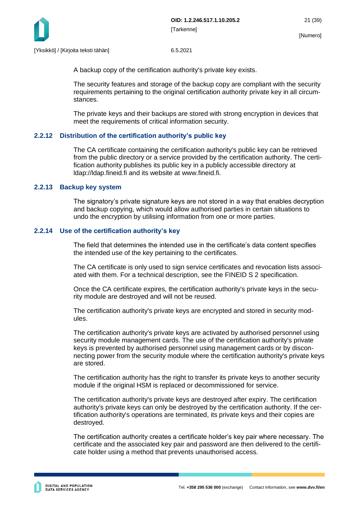

A backup copy of the certification authority's private key exists.

The security features and storage of the backup copy are compliant with the security requirements pertaining to the original certification authority private key in all circumstances.

The private keys and their backups are stored with strong encryption in devices that meet the requirements of critical information security.

# <span id="page-21-0"></span>**2.2.12 Distribution of the certification authority's public key**

The CA certificate containing the certification authority's public key can be retrieved from the public directory or a service provided by the certification authority. The certification authority publishes its public key in a publicly accessible directory at ldap://ldap.fineid.fi and its website at www.fineid.fi.

# <span id="page-21-1"></span>**2.2.13 Backup key system**

The signatory's private signature keys are not stored in a way that enables decryption and backup copying, which would allow authorised parties in certain situations to undo the encryption by utilising information from one or more parties.

# <span id="page-21-2"></span>**2.2.14 Use of the certification authority's key**

The field that determines the intended use in the certificate's data content specifies the intended use of the key pertaining to the certificates.

The CA certificate is only used to sign service certificates and revocation lists associated with them. For a technical description, see the FINEID S 2 specification.

Once the CA certificate expires, the certification authority's private keys in the security module are destroyed and will not be reused.

The certification authority's private keys are encrypted and stored in security modules.

The certification authority's private keys are activated by authorised personnel using security module management cards. The use of the certification authority's private keys is prevented by authorised personnel using management cards or by disconnecting power from the security module where the certification authority's private keys are stored.

The certification authority has the right to transfer its private keys to another security module if the original HSM is replaced or decommissioned for service.

The certification authority's private keys are destroyed after expiry. The certification authority's private keys can only be destroyed by the certification authority. If the certification authority's operations are terminated, its private keys and their copies are destroyed.

The certification authority creates a certificate holder's key pair where necessary. The certificate and the associated key pair and password are then delivered to the certificate holder using a method that prevents unauthorised access.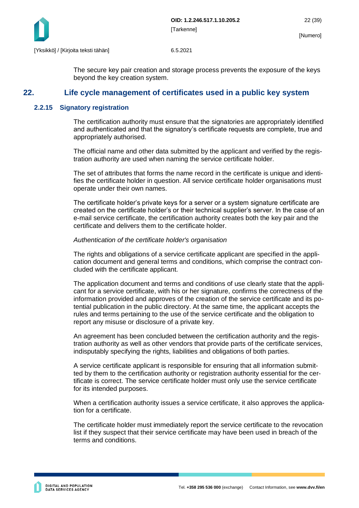

<span id="page-22-0"></span>The secure key pair creation and storage process prevents the exposure of the keys beyond the key creation system.

# **22. Life cycle management of certificates used in a public key system**

#### <span id="page-22-1"></span>**2.2.15 Signatory registration**

The certification authority must ensure that the signatories are appropriately identified and authenticated and that the signatory's certificate requests are complete, true and appropriately authorised.

The official name and other data submitted by the applicant and verified by the registration authority are used when naming the service certificate holder.

The set of attributes that forms the name record in the certificate is unique and identifies the certificate holder in question. All service certificate holder organisations must operate under their own names.

The certificate holder's private keys for a server or a system signature certificate are created on the certificate holder's or their technical supplier's server. In the case of an e-mail service certificate, the certification authority creates both the key pair and the certificate and delivers them to the certificate holder.

#### *Authentication of the certificate holder's organisation*

The rights and obligations of a service certificate applicant are specified in the application document and general terms and conditions, which comprise the contract concluded with the certificate applicant.

The application document and terms and conditions of use clearly state that the applicant for a service certificate, with his or her signature, confirms the correctness of the information provided and approves of the creation of the service certificate and its potential publication in the public directory. At the same time, the applicant accepts the rules and terms pertaining to the use of the service certificate and the obligation to report any misuse or disclosure of a private key.

An agreement has been concluded between the certification authority and the registration authority as well as other vendors that provide parts of the certificate services, indisputably specifying the rights, liabilities and obligations of both parties.

A service certificate applicant is responsible for ensuring that all information submitted by them to the certification authority or registration authority essential for the certificate is correct. The service certificate holder must only use the service certificate for its intended purposes.

When a certification authority issues a service certificate, it also approves the application for a certificate.

The certificate holder must immediately report the service certificate to the revocation list if they suspect that their service certificate may have been used in breach of the terms and conditions.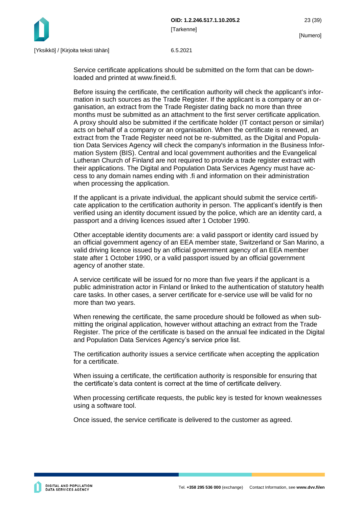

Service certificate applications should be submitted on the form that can be downloaded and printed at www.fineid.fi.

Before issuing the certificate, the certification authority will check the applicant's information in such sources as the Trade Register. If the applicant is a company or an organisation, an extract from the Trade Register dating back no more than three months must be submitted as an attachment to the first server certificate application. A proxy should also be submitted if the certificate holder (IT contact person or similar) acts on behalf of a company or an organisation. When the certificate is renewed, an extract from the Trade Register need not be re-submitted, as the Digital and Population Data Services Agency will check the company's information in the Business Information System (BIS). Central and local government authorities and the Evangelical Lutheran Church of Finland are not required to provide a trade register extract with their applications. The Digital and Population Data Services Agency must have access to any domain names ending with .fi and information on their administration when processing the application.

If the applicant is a private individual, the applicant should submit the service certificate application to the certification authority in person. The applicant's identify is then verified using an identity document issued by the police, which are an identity card, a passport and a driving licences issued after 1 October 1990.

Other acceptable identity documents are: a valid passport or identity card issued by an official government agency of an EEA member state, Switzerland or San Marino, a valid driving licence issued by an official government agency of an EEA member state after 1 October 1990, or a valid passport issued by an official government agency of another state.

A service certificate will be issued for no more than five years if the applicant is a public administration actor in Finland or linked to the authentication of statutory health care tasks. In other cases, a server certificate for e-service use will be valid for no more than two years.

When renewing the certificate, the same procedure should be followed as when submitting the original application, however without attaching an extract from the Trade Register. The price of the certificate is based on the annual fee indicated in the Digital and Population Data Services Agency's service price list.

The certification authority issues a service certificate when accepting the application for a certificate.

When issuing a certificate, the certification authority is responsible for ensuring that the certificate's data content is correct at the time of certificate delivery.

When processing certificate requests, the public key is tested for known weaknesses using a software tool.

Once issued, the service certificate is delivered to the customer as agreed.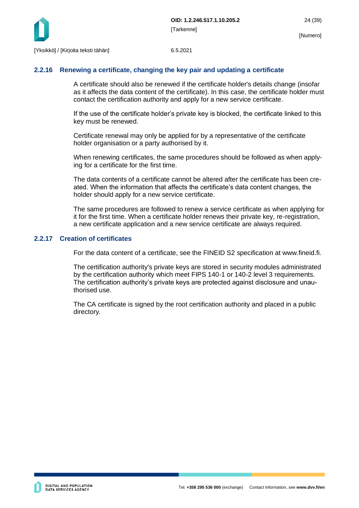

#### <span id="page-24-0"></span>**2.2.16 Renewing a certificate, changing the key pair and updating a certificate**

A certificate should also be renewed if the certificate holder's details change (insofar as it affects the data content of the certificate). In this case, the certificate holder must contact the certification authority and apply for a new service certificate.

If the use of the certificate holder's private key is blocked, the certificate linked to this key must be renewed.

Certificate renewal may only be applied for by a representative of the certificate holder organisation or a party authorised by it.

When renewing certificates, the same procedures should be followed as when applying for a certificate for the first time.

The data contents of a certificate cannot be altered after the certificate has been created. When the information that affects the certificate's data content changes, the holder should apply for a new service certificate.

The same procedures are followed to renew a service certificate as when applying for it for the first time. When a certificate holder renews their private key, re-registration, a new certificate application and a new service certificate are always required.

#### <span id="page-24-1"></span>**2.2.17 Creation of certificates**

For the data content of a certificate, see the FINEID S2 specification at www.fineid.fi.

The certification authority's private keys are stored in security modules administrated by the certification authority which meet FIPS 140-1 or 140-2 level 3 requirements. The certification authority's private keys are protected against disclosure and unauthorised use.

The CA certificate is signed by the root certification authority and placed in a public directory.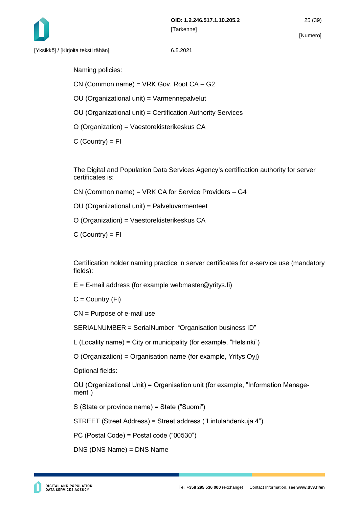Naming policies:

CN (Common name) = VRK Gov. Root CA – G2

OU (Organizational unit) = Varmennepalvelut

OU (Organizational unit) = Certification Authority Services

O (Organization) = Vaestorekisterikeskus CA

 $C$  (Country) =  $FI$ 

The Digital and Population Data Services Agency's certification authority for server certificates is:

CN (Common name) = VRK CA for Service Providers – G4

OU (Organizational unit) = Palveluvarmenteet

O (Organization) = Vaestorekisterikeskus CA

 $C$  (Country) = FI

Certification holder naming practice in server certificates for e-service use (mandatory fields):

 $E = E$ -mail address (for example webmaster@yritys.fi)

 $C =$  Country (Fi)

CN = Purpose of e-mail use

SERIALNUMBER = SerialNumber "Organisation business ID"

L (Locality name) = City or municipality (for example, "Helsinki")

O (Organization) = Organisation name (for example, Yritys Oyj)

Optional fields:

OU (Organizational Unit) = Organisation unit (for example, "Information Management")

S (State or province name) = State ("Suomi")

STREET (Street Address) = Street address ("Lintulahdenkuja 4")

PC (Postal Code) = Postal code ("00530")

DNS (DNS Name) = DNS Name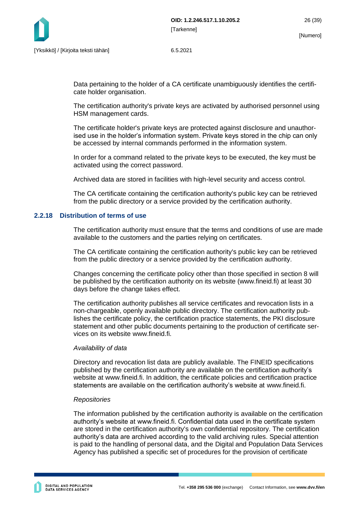Data pertaining to the holder of a CA certificate unambiguously identifies the certificate holder organisation.

The certification authority's private keys are activated by authorised personnel using HSM management cards.

The certificate holder's private keys are protected against disclosure and unauthorised use in the holder's information system. Private keys stored in the chip can only be accessed by internal commands performed in the information system.

In order for a command related to the private keys to be executed, the key must be activated using the correct password.

Archived data are stored in facilities with high-level security and access control.

The CA certificate containing the certification authority's public key can be retrieved from the public directory or a service provided by the certification authority.

#### <span id="page-26-0"></span>**2.2.18 Distribution of terms of use**

The certification authority must ensure that the terms and conditions of use are made available to the customers and the parties relying on certificates.

The CA certificate containing the certification authority's public key can be retrieved from the public directory or a service provided by the certification authority.

Changes concerning the certificate policy other than those specified in section 8 will be published by the certification authority on its website (www.fineid.fi) at least 30 days before the change takes effect.

The certification authority publishes all service certificates and revocation lists in a non-chargeable, openly available public directory. The certification authority publishes the certificate policy, the certification practice statements, the PKI disclosure statement and other public documents pertaining to the production of certificate services on its website www.fineid.fi.

#### *Availability of data*

Directory and revocation list data are publicly available. The FINEID specifications published by the certification authority are available on the certification authority's website at www.fineid.fi. In addition, the certificate policies and certification practice statements are available on the certification authority's website at www.fineid.fi.

#### *Repositories*

The information published by the certification authority is available on the certification authority's website at www.fineid.fi. Confidential data used in the certificate system are stored in the certification authority's own confidential repository. The certification authority's data are archived according to the valid archiving rules. Special attention is paid to the handling of personal data, and the Digital and Population Data Services Agency has published a specific set of procedures for the provision of certificate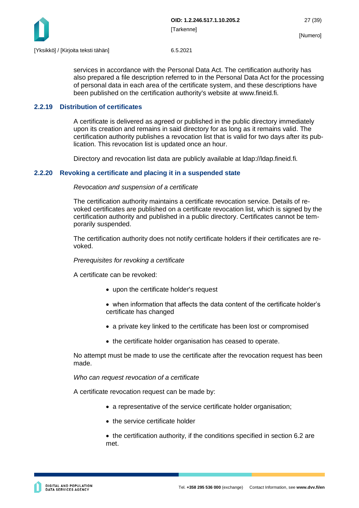

services in accordance with the Personal Data Act. The certification authority has also prepared a file description referred to in the Personal Data Act for the processing of personal data in each area of the certificate system, and these descriptions have been published on the certification authority's website at www.fineid.fi.

#### <span id="page-27-0"></span>**2.2.19 Distribution of certificates**

A certificate is delivered as agreed or published in the public directory immediately upon its creation and remains in said directory for as long as it remains valid. The certification authority publishes a revocation list that is valid for two days after its publication. This revocation list is updated once an hour.

Directory and revocation list data are publicly available at ldap://ldap.fineid.fi.

#### <span id="page-27-1"></span>**2.2.20 Revoking a certificate and placing it in a suspended state**

#### *Revocation and suspension of a certificate*

The certification authority maintains a certificate revocation service. Details of revoked certificates are published on a certificate revocation list, which is signed by the certification authority and published in a public directory. Certificates cannot be temporarily suspended.

The certification authority does not notify certificate holders if their certificates are revoked.

#### *Prerequisites for revoking a certificate*

A certificate can be revoked:

- upon the certificate holder's request
- when information that affects the data content of the certificate holder's certificate has changed
- a private key linked to the certificate has been lost or compromised
- the certificate holder organisation has ceased to operate.

No attempt must be made to use the certificate after the revocation request has been made.

#### *Who can request revocation of a certificate*

A certificate revocation request can be made by:

- a representative of the service certificate holder organisation;
- the service certificate holder

• the certification authority, if the conditions specified in section 6.2 are met.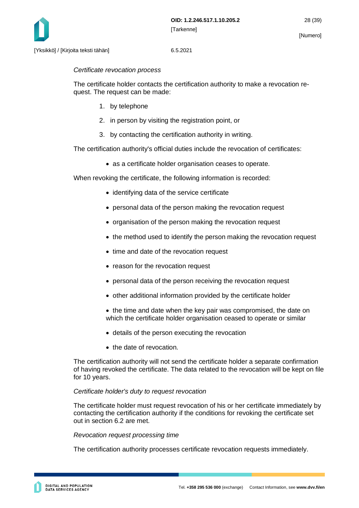

#### *Certificate revocation process*

The certificate holder contacts the certification authority to make a revocation request. The request can be made:

- 1. by telephone
- 2. in person by visiting the registration point, or
- 3. by contacting the certification authority in writing.

The certification authority's official duties include the revocation of certificates:

• as a certificate holder organisation ceases to operate.

When revoking the certificate, the following information is recorded:

- identifying data of the service certificate
- personal data of the person making the revocation request
- organisation of the person making the revocation request
- the method used to identify the person making the revocation request
- time and date of the revocation request
- reason for the revocation request
- personal data of the person receiving the revocation request
- other additional information provided by the certificate holder
- the time and date when the key pair was compromised, the date on which the certificate holder organisation ceased to operate or similar
- details of the person executing the revocation
- the date of revocation.

The certification authority will not send the certificate holder a separate confirmation of having revoked the certificate. The data related to the revocation will be kept on file for 10 years.

#### *Certificate holder's duty to request revocation*

The certificate holder must request revocation of his or her certificate immediately by contacting the certification authority if the conditions for revoking the certificate set out in section 6.2 are met.

#### *Revocation request processing time*

The certification authority processes certificate revocation requests immediately.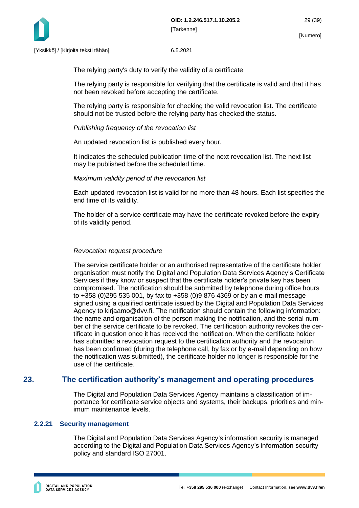

The relying party's duty to verify the validity of a certificate

The relying party is responsible for verifying that the certificate is valid and that it has not been revoked before accepting the certificate.

The relying party is responsible for checking the valid revocation list. The certificate should not be trusted before the relying party has checked the status.

#### *Publishing frequency of the revocation list*

An updated revocation list is published every hour.

It indicates the scheduled publication time of the next revocation list. The next list may be published before the scheduled time.

#### *Maximum validity period of the revocation list*

Each updated revocation list is valid for no more than 48 hours. Each list specifies the end time of its validity.

The holder of a service certificate may have the certificate revoked before the expiry of its validity period.

#### *Revocation request procedure*

The service certificate holder or an authorised representative of the certificate holder organisation must notify the Digital and Population Data Services Agency's Certificate Services if they know or suspect that the certificate holder's private key has been compromised. The notification should be submitted by telephone during office hours to +358 (0)295 535 001, by fax to +358 (0)9 876 4369 or by an e-mail message signed using a qualified certificate issued by the Digital and Population Data Services Agency to kirjaamo@dvv.fi. The notification should contain the following information: the name and organisation of the person making the notification, and the serial number of the service certificate to be revoked. The certification authority revokes the certificate in question once it has received the notification. When the certificate holder has submitted a revocation request to the certification authority and the revocation has been confirmed (during the telephone call, by fax or by e-mail depending on how the notification was submitted), the certificate holder no longer is responsible for the use of the certificate.

# <span id="page-29-0"></span>**23. The certification authority's management and operating procedures**

The Digital and Population Data Services Agency maintains a classification of importance for certificate service objects and systems, their backups, priorities and minimum maintenance levels.

### <span id="page-29-1"></span>**2.2.21 Security management**

The Digital and Population Data Services Agency's information security is managed according to the Digital and Population Data Services Agency's information security policy and standard ISO 27001.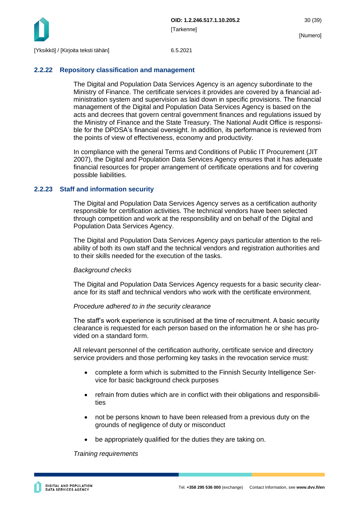

#### <span id="page-30-0"></span>**2.2.22 Repository classification and management**

The Digital and Population Data Services Agency is an agency subordinate to the Ministry of Finance. The certificate services it provides are covered by a financial administration system and supervision as laid down in specific provisions. The financial management of the Digital and Population Data Services Agency is based on the acts and decrees that govern central government finances and regulations issued by the Ministry of Finance and the State Treasury. The National Audit Office is responsible for the DPDSA's financial oversight. In addition, its performance is reviewed from the points of view of effectiveness, economy and productivity.

In compliance with the general Terms and Conditions of Public IT Procurement (JIT 2007), the Digital and Population Data Services Agency ensures that it has adequate financial resources for proper arrangement of certificate operations and for covering possible liabilities.

#### <span id="page-30-1"></span>**2.2.23 Staff and information security**

The Digital and Population Data Services Agency serves as a certification authority responsible for certification activities. The technical vendors have been selected through competition and work at the responsibility and on behalf of the Digital and Population Data Services Agency.

The Digital and Population Data Services Agency pays particular attention to the reliability of both its own staff and the technical vendors and registration authorities and to their skills needed for the execution of the tasks.

#### *Background checks*

The Digital and Population Data Services Agency requests for a basic security clearance for its staff and technical vendors who work with the certificate environment.

#### *Procedure adhered to in the security clearance*

The staff's work experience is scrutinised at the time of recruitment. A basic security clearance is requested for each person based on the information he or she has provided on a standard form.

All relevant personnel of the certification authority, certificate service and directory service providers and those performing key tasks in the revocation service must:

- complete a form which is submitted to the Finnish Security Intelligence Service for basic background check purposes
- refrain from duties which are in conflict with their obligations and responsibilities
- not be persons known to have been released from a previous duty on the grounds of negligence of duty or misconduct
- be appropriately qualified for the duties they are taking on.

#### *Training requirements*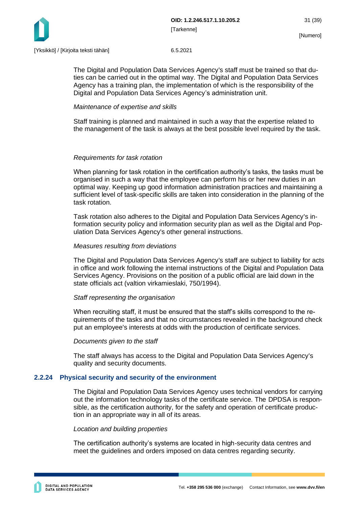

The Digital and Population Data Services Agency's staff must be trained so that duties can be carried out in the optimal way. The Digital and Population Data Services Agency has a training plan, the implementation of which is the responsibility of the Digital and Population Data Services Agency's administration unit.

#### *Maintenance of expertise and skills*

Staff training is planned and maintained in such a way that the expertise related to the management of the task is always at the best possible level required by the task.

#### *Requirements for task rotation*

When planning for task rotation in the certification authority's tasks, the tasks must be organised in such a way that the employee can perform his or her new duties in an optimal way. Keeping up good information administration practices and maintaining a sufficient level of task-specific skills are taken into consideration in the planning of the task rotation.

Task rotation also adheres to the Digital and Population Data Services Agency's information security policy and information security plan as well as the Digital and Population Data Services Agency's other general instructions.

#### *Measures resulting from deviations*

The Digital and Population Data Services Agency's staff are subject to liability for acts in office and work following the internal instructions of the Digital and Population Data Services Agency. Provisions on the position of a public official are laid down in the state officials act (valtion virkamieslaki, 750/1994).

#### *Staff representing the organisation*

When recruiting staff, it must be ensured that the staff's skills correspond to the requirements of the tasks and that no circumstances revealed in the background check put an employee's interests at odds with the production of certificate services.

#### *Documents given to the staff*

The staff always has access to the Digital and Population Data Services Agency's quality and security documents.

#### <span id="page-31-0"></span>**2.2.24 Physical security and security of the environment**

The Digital and Population Data Services Agency uses technical vendors for carrying out the information technology tasks of the certificate service. The DPDSA is responsible, as the certification authority, for the safety and operation of certificate production in an appropriate way in all of its areas.

#### *Location and building properties*

The certification authority's systems are located in high-security data centres and meet the guidelines and orders imposed on data centres regarding security.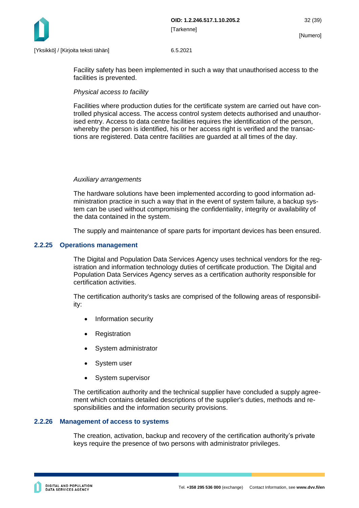

Facility safety has been implemented in such a way that unauthorised access to the facilities is prevented.

#### *Physical access to facility*

Facilities where production duties for the certificate system are carried out have controlled physical access. The access control system detects authorised and unauthorised entry. Access to data centre facilities requires the identification of the person, whereby the person is identified, his or her access right is verified and the transactions are registered. Data centre facilities are guarded at all times of the day.

#### *Auxiliary arrangements*

The hardware solutions have been implemented according to good information administration practice in such a way that in the event of system failure, a backup system can be used without compromising the confidentiality, integrity or availability of the data contained in the system.

The supply and maintenance of spare parts for important devices has been ensured.

#### <span id="page-32-0"></span>**2.2.25 Operations management**

The Digital and Population Data Services Agency uses technical vendors for the registration and information technology duties of certificate production. The Digital and Population Data Services Agency serves as a certification authority responsible for certification activities.

The certification authority's tasks are comprised of the following areas of responsibility:

- Information security
- **Registration**
- System administrator
- System user
- System supervisor

The certification authority and the technical supplier have concluded a supply agreement which contains detailed descriptions of the supplier's duties, methods and responsibilities and the information security provisions.

#### <span id="page-32-1"></span>**2.2.26 Management of access to systems**

The creation, activation, backup and recovery of the certification authority's private keys require the presence of two persons with administrator privileges.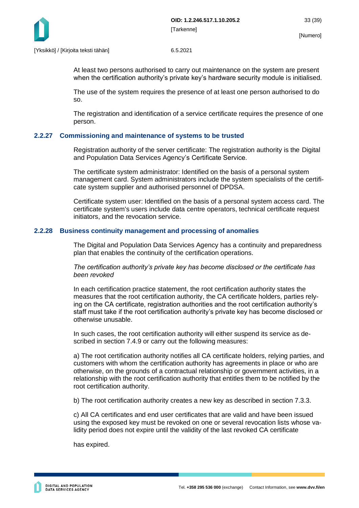

At least two persons authorised to carry out maintenance on the system are present when the certification authority's private key's hardware security module is initialised.

The use of the system requires the presence of at least one person authorised to do so.

The registration and identification of a service certificate requires the presence of one person.

#### <span id="page-33-0"></span>**2.2.27 Commissioning and maintenance of systems to be trusted**

Registration authority of the server certificate: The registration authority is the Digital and Population Data Services Agency's Certificate Service.

The certificate system administrator: Identified on the basis of a personal system management card. System administrators include the system specialists of the certificate system supplier and authorised personnel of DPDSA.

Certificate system user: Identified on the basis of a personal system access card. The certificate system's users include data centre operators, technical certificate request initiators, and the revocation service.

#### <span id="page-33-1"></span>**2.2.28 Business continuity management and processing of anomalies**

The Digital and Population Data Services Agency has a continuity and preparedness plan that enables the continuity of the certification operations.

*The certification authority's private key has become disclosed or the certificate has been revoked*

In each certification practice statement, the root certification authority states the measures that the root certification authority, the CA certificate holders, parties relying on the CA certificate, registration authorities and the root certification authority's staff must take if the root certification authority's private key has become disclosed or otherwise unusable.

In such cases, the root certification authority will either suspend its service as described in section 7.4.9 or carry out the following measures:

a) The root certification authority notifies all CA certificate holders, relying parties, and customers with whom the certification authority has agreements in place or who are otherwise, on the grounds of a contractual relationship or government activities, in a relationship with the root certification authority that entitles them to be notified by the root certification authority.

b) The root certification authority creates a new key as described in section 7.3.3.

c) All CA certificates and end user certificates that are valid and have been issued using the exposed key must be revoked on one or several revocation lists whose validity period does not expire until the validity of the last revoked CA certificate

has expired.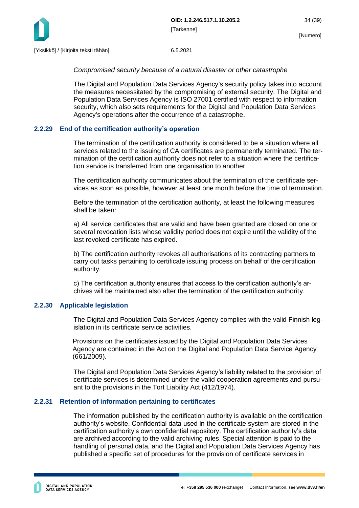

#### *Compromised security because of a natural disaster or other catastrophe*

The Digital and Population Data Services Agency's security policy takes into account the measures necessitated by the compromising of external security. The Digital and Population Data Services Agency is ISO 27001 certified with respect to information security, which also sets requirements for the Digital and Population Data Services Agency's operations after the occurrence of a catastrophe.

#### <span id="page-34-0"></span>**2.2.29 End of the certification authority's operation**

The termination of the certification authority is considered to be a situation where all services related to the issuing of CA certificates are permanently terminated. The termination of the certification authority does not refer to a situation where the certification service is transferred from one organisation to another.

The certification authority communicates about the termination of the certificate services as soon as possible, however at least one month before the time of termination.

Before the termination of the certification authority, at least the following measures shall be taken:

a) All service certificates that are valid and have been granted are closed on one or several revocation lists whose validity period does not expire until the validity of the last revoked certificate has expired.

b) The certification authority revokes all authorisations of its contracting partners to carry out tasks pertaining to certificate issuing process on behalf of the certification authority.

c) The certification authority ensures that access to the certification authority's archives will be maintained also after the termination of the certification authority.

#### <span id="page-34-1"></span>**2.2.30 Applicable legislation**

The Digital and Population Data Services Agency complies with the valid Finnish legislation in its certificate service activities.

Provisions on the certificates issued by the Digital and Population Data Services Agency are contained in the Act on the Digital and Population Data Service Agency (661/2009).

The Digital and Population Data Services Agency's liability related to the provision of certificate services is determined under the valid cooperation agreements and pursuant to the provisions in the Tort Liability Act (412/1974).

#### <span id="page-34-2"></span>**2.2.31 Retention of information pertaining to certificates**

The information published by the certification authority is available on the certification authority's website. Confidential data used in the certificate system are stored in the certification authority's own confidential repository. The certification authority's data are archived according to the valid archiving rules. Special attention is paid to the handling of personal data, and the Digital and Population Data Services Agency has published a specific set of procedures for the provision of certificate services in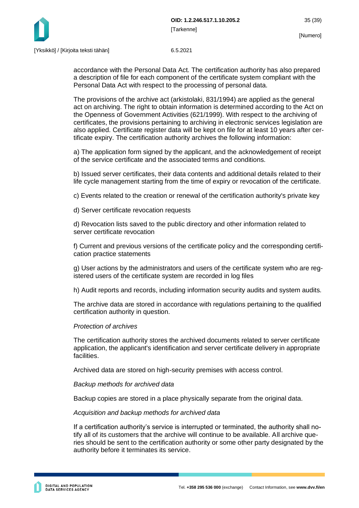



accordance with the Personal Data Act. The certification authority has also prepared a description of file for each component of the certificate system compliant with the Personal Data Act with respect to the processing of personal data.

The provisions of the archive act (arkistolaki, 831/1994) are applied as the general act on archiving. The right to obtain information is determined according to the Act on the Openness of Government Activities (621/1999). With respect to the archiving of certificates, the provisions pertaining to archiving in electronic services legislation are also applied. Certificate register data will be kept on file for at least 10 years after certificate expiry. The certification authority archives the following information:

a) The application form signed by the applicant, and the acknowledgement of receipt of the service certificate and the associated terms and conditions.

b) Issued server certificates, their data contents and additional details related to their life cycle management starting from the time of expiry or revocation of the certificate.

c) Events related to the creation or renewal of the certification authority's private key

d) Server certificate revocation requests

d) Revocation lists saved to the public directory and other information related to server certificate revocation

f) Current and previous versions of the certificate policy and the corresponding certification practice statements

g) User actions by the administrators and users of the certificate system who are registered users of the certificate system are recorded in log files

h) Audit reports and records, including information security audits and system audits.

The archive data are stored in accordance with regulations pertaining to the qualified certification authority in question.

#### *Protection of archives*

The certification authority stores the archived documents related to server certificate application, the applicant's identification and server certificate delivery in appropriate facilities.

Archived data are stored on high-security premises with access control.

#### *Backup methods for archived data*

Backup copies are stored in a place physically separate from the original data.

#### *Acquisition and backup methods for archived data*

If a certification authority's service is interrupted or terminated, the authority shall notify all of its customers that the archive will continue to be available. All archive queries should be sent to the certification authority or some other party designated by the authority before it terminates its service.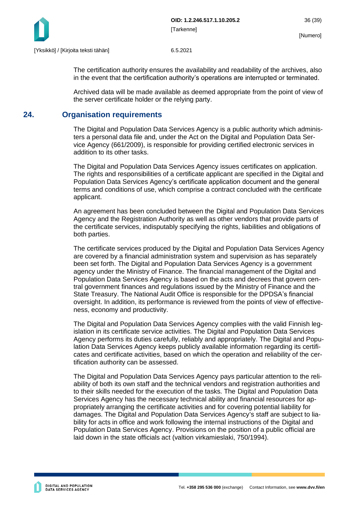

The certification authority ensures the availability and readability of the archives, also in the event that the certification authority's operations are interrupted or terminated.

Archived data will be made available as deemed appropriate from the point of view of the server certificate holder or the relying party.

# <span id="page-36-0"></span>**24. Organisation requirements**

The Digital and Population Data Services Agency is a public authority which administers a personal data file and, under the Act on the Digital and Population Data Service Agency (661/2009), is responsible for providing certified electronic services in addition to its other tasks.

The Digital and Population Data Services Agency issues certificates on application. The rights and responsibilities of a certificate applicant are specified in the Digital and Population Data Services Agency's certificate application document and the general terms and conditions of use, which comprise a contract concluded with the certificate applicant.

An agreement has been concluded between the Digital and Population Data Services Agency and the Registration Authority as well as other vendors that provide parts of the certificate services, indisputably specifying the rights, liabilities and obligations of both parties.

The certificate services produced by the Digital and Population Data Services Agency are covered by a financial administration system and supervision as has separately been set forth. The Digital and Population Data Services Agency is a government agency under the Ministry of Finance. The financial management of the Digital and Population Data Services Agency is based on the acts and decrees that govern central government finances and regulations issued by the Ministry of Finance and the State Treasury. The National Audit Office is responsible for the DPDSA's financial oversight. In addition, its performance is reviewed from the points of view of effectiveness, economy and productivity.

The Digital and Population Data Services Agency complies with the valid Finnish legislation in its certificate service activities. The Digital and Population Data Services Agency performs its duties carefully, reliably and appropriately. The Digital and Population Data Services Agency keeps publicly available information regarding its certificates and certificate activities, based on which the operation and reliability of the certification authority can be assessed.

The Digital and Population Data Services Agency pays particular attention to the reliability of both its own staff and the technical vendors and registration authorities and to their skills needed for the execution of the tasks. The Digital and Population Data Services Agency has the necessary technical ability and financial resources for appropriately arranging the certificate activities and for covering potential liability for damages. The Digital and Population Data Services Agency's staff are subject to liability for acts in office and work following the internal instructions of the Digital and Population Data Services Agency. Provisions on the position of a public official are laid down in the state officials act (valtion virkamieslaki, 750/1994).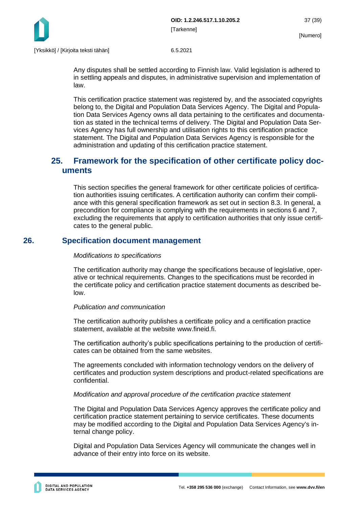

Any disputes shall be settled according to Finnish law. Valid legislation is adhered to in settling appeals and disputes, in administrative supervision and implementation of law.

This certification practice statement was registered by, and the associated copyrights belong to, the Digital and Population Data Services Agency. The Digital and Population Data Services Agency owns all data pertaining to the certificates and documentation as stated in the technical terms of delivery. The Digital and Population Data Services Agency has full ownership and utilisation rights to this certification practice statement. The Digital and Population Data Services Agency is responsible for the administration and updating of this certification practice statement.

# <span id="page-37-0"></span>**25. Framework for the specification of other certificate policy documents**

This section specifies the general framework for other certificate policies of certification authorities issuing certificates. A certification authority can confirm their compliance with this general specification framework as set out in section 8.3. In general, a precondition for compliance is complying with the requirements in sections 6 and 7, excluding the requirements that apply to certification authorities that only issue certificates to the general public.

# <span id="page-37-1"></span>**26. Specification document management**

#### *Modifications to specifications*

The certification authority may change the specifications because of legislative, operative or technical requirements. Changes to the specifications must be recorded in the certificate policy and certification practice statement documents as described below.

#### *Publication and communication*

The certification authority publishes a certificate policy and a certification practice statement, available at the website www.fineid.fi.

The certification authority's public specifications pertaining to the production of certificates can be obtained from the same websites.

The agreements concluded with information technology vendors on the delivery of certificates and production system descriptions and product-related specifications are confidential.

#### *Modification and approval procedure of the certification practice statement*

The Digital and Population Data Services Agency approves the certificate policy and certification practice statement pertaining to service certificates. These documents may be modified according to the Digital and Population Data Services Agency's internal change policy.

Digital and Population Data Services Agency will communicate the changes well in advance of their entry into force on its website.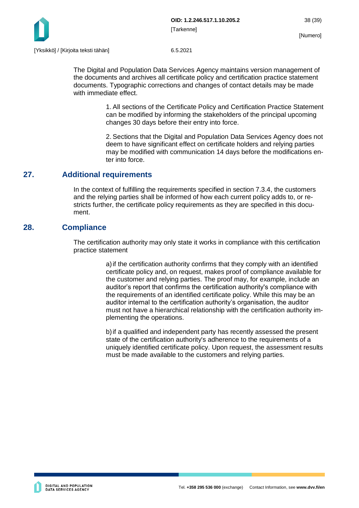

The Digital and Population Data Services Agency maintains version management of the documents and archives all certificate policy and certification practice statement documents. Typographic corrections and changes of contact details may be made with immediate effect.

> 1. All sections of the Certificate Policy and Certification Practice Statement can be modified by informing the stakeholders of the principal upcoming changes 30 days before their entry into force.

> 2. Sections that the Digital and Population Data Services Agency does not deem to have significant effect on certificate holders and relying parties may be modified with communication 14 days before the modifications enter into force.

# <span id="page-38-0"></span>**27. Additional requirements**

In the context of fulfilling the requirements specified in section 7.3.4, the customers and the relying parties shall be informed of how each current policy adds to, or restricts further, the certificate policy requirements as they are specified in this document.

# <span id="page-38-1"></span>**28. Compliance**

The certification authority may only state it works in compliance with this certification practice statement

> a)if the certification authority confirms that they comply with an identified certificate policy and, on request, makes proof of compliance available for the customer and relying parties. The proof may, for example, include an auditor's report that confirms the certification authority's compliance with the requirements of an identified certificate policy. While this may be an auditor internal to the certification authority's organisation, the auditor must not have a hierarchical relationship with the certification authority implementing the operations.

> b)if a qualified and independent party has recently assessed the present state of the certification authority's adherence to the requirements of a uniquely identified certificate policy. Upon request, the assessment results must be made available to the customers and relying parties.